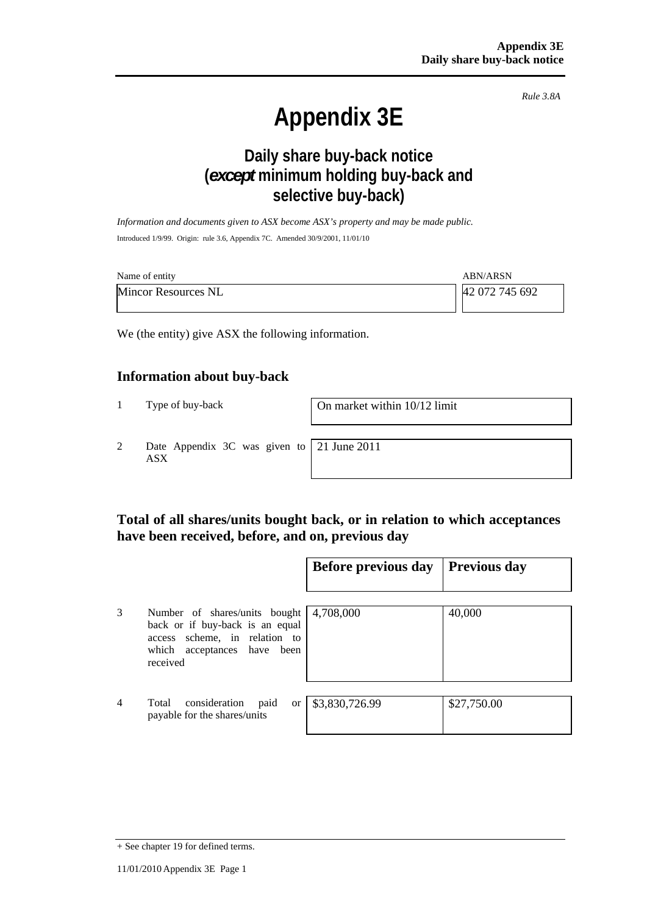*Rule 3.8A*

# **Appendix 3E**

# **Daily share buy-back notice (***except* **minimum holding buy-back and selective buy-back)**

*Information and documents given to ASX become ASX's property and may be made public.*  Introduced 1/9/99. Origin: rule 3.6, Appendix 7C. Amended 30/9/2001, 11/01/10

| Name of entity             | <b>ABN/ARSN</b> |
|----------------------------|-----------------|
| <b>Mincor Resources NL</b> | 42 072 745 692  |

We (the entity) give ASX the following information.

#### **Information about buy-back**

1 Type of buy-back On market within 10/12 limit

2 Date Appendix 3C was given to ASX

21 June 2011

## **Total of all shares/units bought back, or in relation to which acceptances have been received, before, and on, previous day**

|                |                                                                                                                                              | Before previous day | <b>Previous day</b> |
|----------------|----------------------------------------------------------------------------------------------------------------------------------------------|---------------------|---------------------|
| 3              | Number of shares/units bought<br>back or if buy-back is an equal<br>access scheme, in relation to<br>which acceptances have been<br>received | 4,708,000           | 40,000              |
| $\overline{4}$ | Total<br>consideration<br>paid<br><sub>or</sub><br>payable for the shares/units                                                              | \$3,830,726.99      | \$27,750.00         |

<sup>+</sup> See chapter 19 for defined terms.